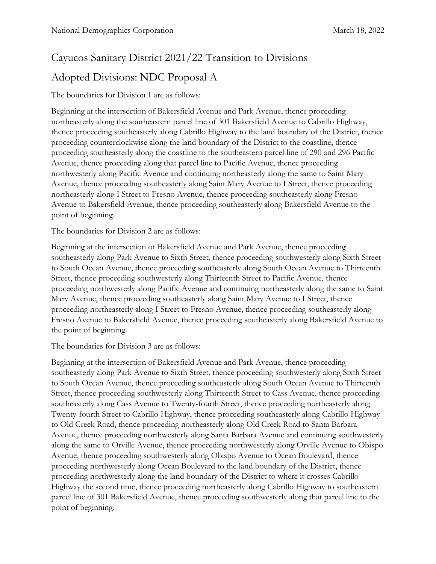# Cayucos Sanitary District 2021/22 Transition to Divisions

# Adopted Divisions: NDC Proposal A

## The boundaries for Division 1 are as follows:

Beginning at the intersection of Bakersfield Avenue and Park Avenue, thence proceeding northeasterly along the southeastern parcel line of 301 Bakersfield Avenue to Cabrillo Highway, thence proceeding southeasterly along Cabrillo Highway to the land boundary of the District, thence proceeding counterclockwise along the land boundary of the District to the coastline, thence proceeding southeasterly along the coastline to the southeastern parcel line of 290 and 296 Pacific Avenue, thence proceeding along that parcel line to Pacific Avenue, thence proceeding northwesterly along Pacific Avenue and continuing northeasterly along the same to Saint Mary Avenue, thence proceeding southeasterly along Saint Mary Avenue to I Street, thence proceeding northeasterly along I Street to Fresno Avenue, thence proceeding southeasterly along Fresno Avenue to Bakersfield Avenue, thence proceeding southeasterly along Bakersfield Avenue to the point of beginning.

The boundaries for Division 2 are as follows:

Beginning at the intersection of Bakersfield Avenue and Park Avenue, thence proceeding southeasterly along Park Avenue to Sixth Street, thence proceeding southwesterly along Sixth Street to South Ocean Avenue, thence proceeding southeasterly along South Ocean Avenue to Thirteenth Street, thence proceeding southwesterly along Thirteenth Street to Pacific Avenue, thence proceeding northwesterly along Pacific Avenue and continuing northeasterly along the same to Saint Mary Avenue, thence proceeding southeasterly along Saint Mary Avenue to I Street, thence proceeding northeasterly along I Street to Fresno Avenue, thence proceeding southeasterly along Fresno Avenue to Bakersfield Avenue, thence proceeding southeasterly along Bakersfield Avenue to the point of beginning.

The boundaries for Division 3 are as follows:

Beginning at the intersection of Bakersfield Avenue and Park Avenue, thence proceeding southeasterly along Park Avenue to Sixth Street, thence proceeding southwesterly along Sixth Street to South Ocean Avenue, thence proceeding southeasterly along South Ocean Avenue to Thirteenth Street, thence proceeding southwesterly along Thirteenth Street to Cass Avenue, thence proceeding southeasterly along Cass Avenue to Twenty-fourth Street, thence proceeding northeasterly along Twenty-fourth Street to Cabrillo Highway, thence proceeding southeasterly along Cabrillo Highway to Old Creek Road, thence proceeding northeasterly along Old Creek Road to Santa Barbara Avenue, thence proceeding northwesterly along Santa Barbara Avenue and continuing southwesterly along the same to Orville Avenue, thence proceeding northwesterly along Orville Avenue to Obispo Avenue, thence proceeding southwesterly along Obispo Avenue to Ocean Boulevard, thence proceeding northwesterly along Ocean Boulevard to the land boundary of the District, thence proceeding northwesterly along the land boundary of the District to where it crosses Cabrillo Highway the second time, thence proceeding northeasterly along Cabrillo Highway to southeastern parcel line of 301 Bakersfield Avenue, thence proceeding southwesterly along that parcel line to the point of beginning.